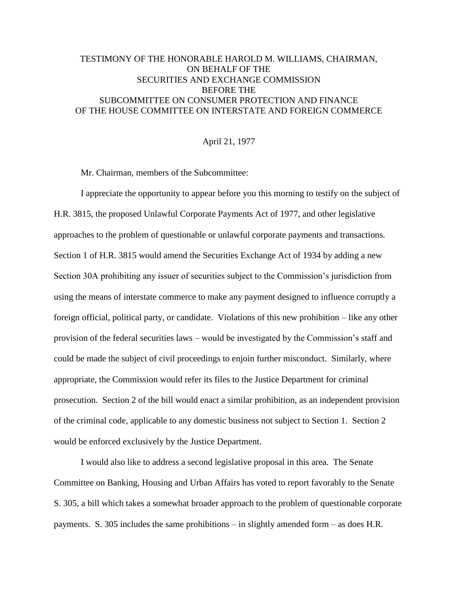# TESTIMONY OF THE HONORABLE HAROLD M. WILLIAMS, CHAIRMAN, ON BEHALF OF THE SECURITIES AND EXCHANGE COMMISSION BEFORE THE SUBCOMMITTEE ON CONSUMER PROTECTION AND FINANCE OF THE HOUSE COMMITTEE ON INTERSTATE AND FOREIGN COMMERCE

## April 21, 1977

Mr. Chairman, members of the Subcommittee:

I appreciate the opportunity to appear before you this morning to testify on the subject of H.R. 3815, the proposed Unlawful Corporate Payments Act of 1977, and other legislative approaches to the problem of questionable or unlawful corporate payments and transactions. Section 1 of H.R. 3815 would amend the Securities Exchange Act of 1934 by adding a new Section 30A prohibiting any issuer of securities subject to the Commission's jurisdiction from using the means of interstate commerce to make any payment designed to influence corruptly a foreign official, political party, or candidate. Violations of this new prohibition – like any other provision of the federal securities laws – would be investigated by the Commission's staff and could be made the subject of civil proceedings to enjoin further misconduct. Similarly, where appropriate, the Commission would refer its files to the Justice Department for criminal prosecution. Section 2 of the bill would enact a similar prohibition, as an independent provision of the criminal code, applicable to any domestic business not subject to Section 1. Section 2 would be enforced exclusively by the Justice Department.

I would also like to address a second legislative proposal in this area. The Senate Committee on Banking, Housing and Urban Affairs has voted to report favorably to the Senate S. 305, a bill which takes a somewhat broader approach to the problem of questionable corporate payments. S. 305 includes the same prohibitions – in slightly amended form – as does H.R.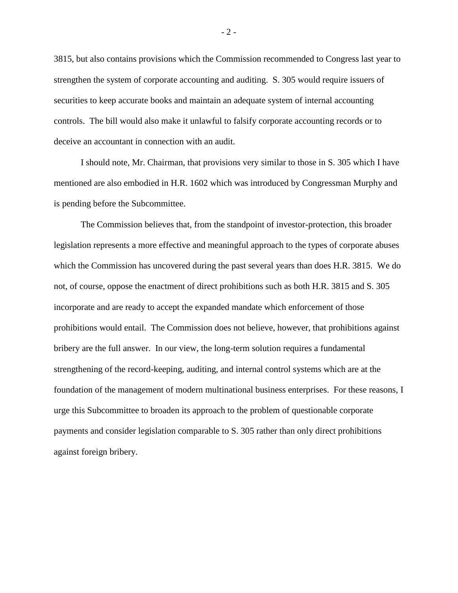3815, but also contains provisions which the Commission recommended to Congress last year to strengthen the system of corporate accounting and auditing. S. 305 would require issuers of securities to keep accurate books and maintain an adequate system of internal accounting controls. The bill would also make it unlawful to falsify corporate accounting records or to deceive an accountant in connection with an audit.

I should note, Mr. Chairman, that provisions very similar to those in S. 305 which I have mentioned are also embodied in H.R. 1602 which was introduced by Congressman Murphy and is pending before the Subcommittee.

The Commission believes that, from the standpoint of investor-protection, this broader legislation represents a more effective and meaningful approach to the types of corporate abuses which the Commission has uncovered during the past several years than does H.R. 3815. We do not, of course, oppose the enactment of direct prohibitions such as both H.R. 3815 and S. 305 incorporate and are ready to accept the expanded mandate which enforcement of those prohibitions would entail. The Commission does not believe, however, that prohibitions against bribery are the full answer. In our view, the long-term solution requires a fundamental strengthening of the record-keeping, auditing, and internal control systems which are at the foundation of the management of modern multinational business enterprises. For these reasons, I urge this Subcommittee to broaden its approach to the problem of questionable corporate payments and consider legislation comparable to S. 305 rather than only direct prohibitions against foreign bribery.

- 2 -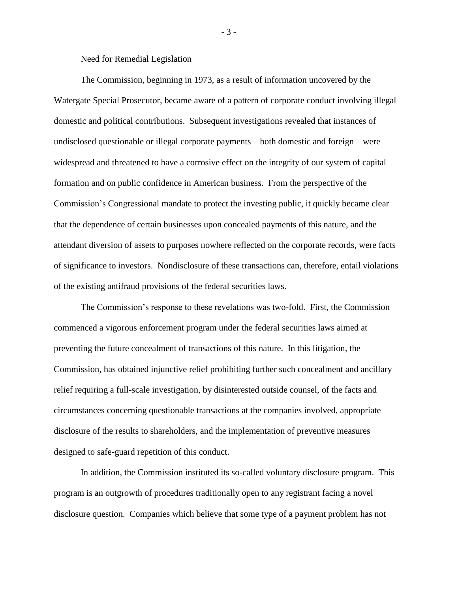#### Need for Remedial Legislation

The Commission, beginning in 1973, as a result of information uncovered by the Watergate Special Prosecutor, became aware of a pattern of corporate conduct involving illegal domestic and political contributions. Subsequent investigations revealed that instances of undisclosed questionable or illegal corporate payments – both domestic and foreign – were widespread and threatened to have a corrosive effect on the integrity of our system of capital formation and on public confidence in American business. From the perspective of the Commission's Congressional mandate to protect the investing public, it quickly became clear that the dependence of certain businesses upon concealed payments of this nature, and the attendant diversion of assets to purposes nowhere reflected on the corporate records, were facts of significance to investors. Nondisclosure of these transactions can, therefore, entail violations of the existing antifraud provisions of the federal securities laws.

The Commission's response to these revelations was two-fold. First, the Commission commenced a vigorous enforcement program under the federal securities laws aimed at preventing the future concealment of transactions of this nature. In this litigation, the Commission, has obtained injunctive relief prohibiting further such concealment and ancillary relief requiring a full-scale investigation, by disinterested outside counsel, of the facts and circumstances concerning questionable transactions at the companies involved, appropriate disclosure of the results to shareholders, and the implementation of preventive measures designed to safe-guard repetition of this conduct.

In addition, the Commission instituted its so-called voluntary disclosure program. This program is an outgrowth of procedures traditionally open to any registrant facing a novel disclosure question. Companies which believe that some type of a payment problem has not

- 3 -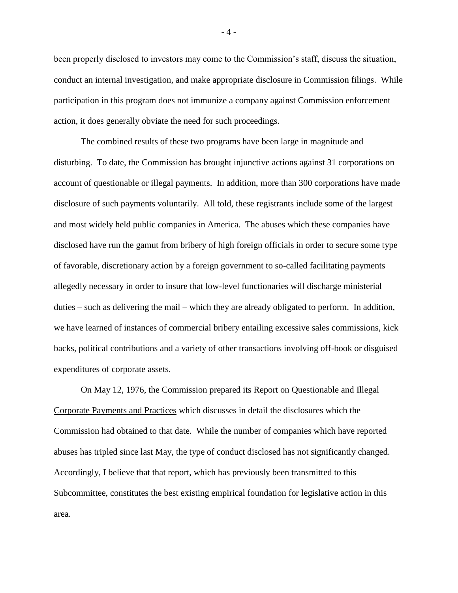been properly disclosed to investors may come to the Commission's staff, discuss the situation, conduct an internal investigation, and make appropriate disclosure in Commission filings. While participation in this program does not immunize a company against Commission enforcement action, it does generally obviate the need for such proceedings.

The combined results of these two programs have been large in magnitude and disturbing. To date, the Commission has brought injunctive actions against 31 corporations on account of questionable or illegal payments. In addition, more than 300 corporations have made disclosure of such payments voluntarily. All told, these registrants include some of the largest and most widely held public companies in America. The abuses which these companies have disclosed have run the gamut from bribery of high foreign officials in order to secure some type of favorable, discretionary action by a foreign government to so-called facilitating payments allegedly necessary in order to insure that low-level functionaries will discharge ministerial duties – such as delivering the mail – which they are already obligated to perform. In addition, we have learned of instances of commercial bribery entailing excessive sales commissions, kick backs, political contributions and a variety of other transactions involving off-book or disguised expenditures of corporate assets.

On May 12, 1976, the Commission prepared its Report on Questionable and Illegal Corporate Payments and Practices which discusses in detail the disclosures which the Commission had obtained to that date. While the number of companies which have reported abuses has tripled since last May, the type of conduct disclosed has not significantly changed. Accordingly, I believe that that report, which has previously been transmitted to this Subcommittee, constitutes the best existing empirical foundation for legislative action in this area.

- 4 -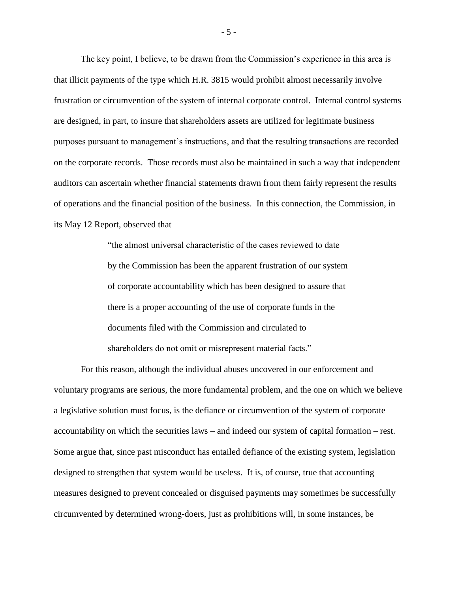The key point, I believe, to be drawn from the Commission's experience in this area is that illicit payments of the type which H.R. 3815 would prohibit almost necessarily involve frustration or circumvention of the system of internal corporate control. Internal control systems are designed, in part, to insure that shareholders assets are utilized for legitimate business purposes pursuant to management's instructions, and that the resulting transactions are recorded on the corporate records. Those records must also be maintained in such a way that independent auditors can ascertain whether financial statements drawn from them fairly represent the results of operations and the financial position of the business. In this connection, the Commission, in its May 12 Report, observed that

> "the almost universal characteristic of the cases reviewed to date by the Commission has been the apparent frustration of our system of corporate accountability which has been designed to assure that there is a proper accounting of the use of corporate funds in the documents filed with the Commission and circulated to shareholders do not omit or misrepresent material facts."

For this reason, although the individual abuses uncovered in our enforcement and voluntary programs are serious, the more fundamental problem, and the one on which we believe a legislative solution must focus, is the defiance or circumvention of the system of corporate accountability on which the securities laws – and indeed our system of capital formation – rest. Some argue that, since past misconduct has entailed defiance of the existing system, legislation designed to strengthen that system would be useless. It is, of course, true that accounting measures designed to prevent concealed or disguised payments may sometimes be successfully circumvented by determined wrong-doers, just as prohibitions will, in some instances, be

- 5 -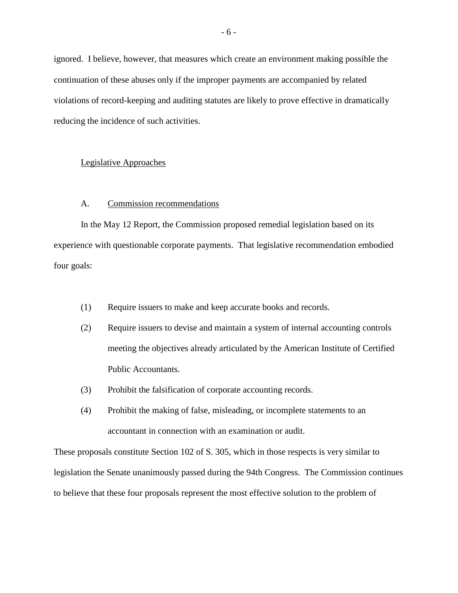ignored. I believe, however, that measures which create an environment making possible the continuation of these abuses only if the improper payments are accompanied by related violations of record-keeping and auditing statutes are likely to prove effective in dramatically reducing the incidence of such activities.

#### Legislative Approaches

### A. Commission recommendations

In the May 12 Report, the Commission proposed remedial legislation based on its experience with questionable corporate payments. That legislative recommendation embodied four goals:

- (1) Require issuers to make and keep accurate books and records.
- (2) Require issuers to devise and maintain a system of internal accounting controls meeting the objectives already articulated by the American Institute of Certified Public Accountants.
- (3) Prohibit the falsification of corporate accounting records.
- (4) Prohibit the making of false, misleading, or incomplete statements to an accountant in connection with an examination or audit.

These proposals constitute Section 102 of S. 305, which in those respects is very similar to legislation the Senate unanimously passed during the 94th Congress. The Commission continues to believe that these four proposals represent the most effective solution to the problem of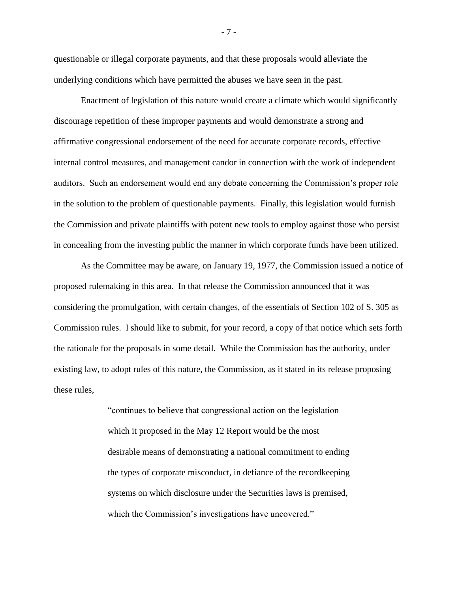questionable or illegal corporate payments, and that these proposals would alleviate the underlying conditions which have permitted the abuses we have seen in the past.

Enactment of legislation of this nature would create a climate which would significantly discourage repetition of these improper payments and would demonstrate a strong and affirmative congressional endorsement of the need for accurate corporate records, effective internal control measures, and management candor in connection with the work of independent auditors. Such an endorsement would end any debate concerning the Commission's proper role in the solution to the problem of questionable payments. Finally, this legislation would furnish the Commission and private plaintiffs with potent new tools to employ against those who persist in concealing from the investing public the manner in which corporate funds have been utilized.

As the Committee may be aware, on January 19, 1977, the Commission issued a notice of proposed rulemaking in this area. In that release the Commission announced that it was considering the promulgation, with certain changes, of the essentials of Section 102 of S. 305 as Commission rules. I should like to submit, for your record, a copy of that notice which sets forth the rationale for the proposals in some detail. While the Commission has the authority, under existing law, to adopt rules of this nature, the Commission, as it stated in its release proposing these rules,

> "continues to believe that congressional action on the legislation which it proposed in the May 12 Report would be the most desirable means of demonstrating a national commitment to ending the types of corporate misconduct, in defiance of the recordkeeping systems on which disclosure under the Securities laws is premised, which the Commission's investigations have uncovered."

- 7 -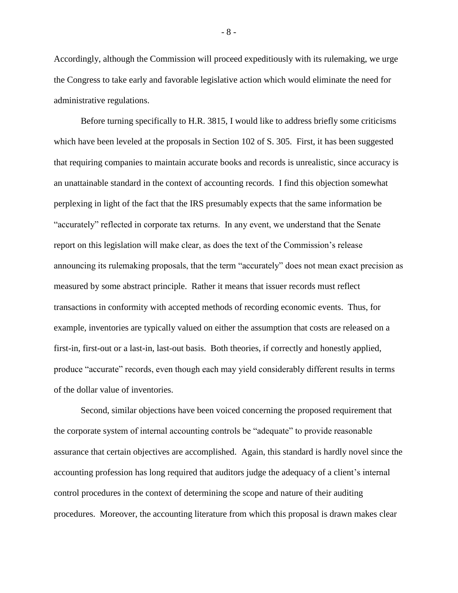Accordingly, although the Commission will proceed expeditiously with its rulemaking, we urge the Congress to take early and favorable legislative action which would eliminate the need for administrative regulations.

Before turning specifically to H.R. 3815, I would like to address briefly some criticisms which have been leveled at the proposals in Section 102 of S. 305. First, it has been suggested that requiring companies to maintain accurate books and records is unrealistic, since accuracy is an unattainable standard in the context of accounting records. I find this objection somewhat perplexing in light of the fact that the IRS presumably expects that the same information be "accurately" reflected in corporate tax returns. In any event, we understand that the Senate report on this legislation will make clear, as does the text of the Commission's release announcing its rulemaking proposals, that the term "accurately" does not mean exact precision as measured by some abstract principle. Rather it means that issuer records must reflect transactions in conformity with accepted methods of recording economic events. Thus, for example, inventories are typically valued on either the assumption that costs are released on a first-in, first-out or a last-in, last-out basis. Both theories, if correctly and honestly applied, produce "accurate" records, even though each may yield considerably different results in terms of the dollar value of inventories.

Second, similar objections have been voiced concerning the proposed requirement that the corporate system of internal accounting controls be "adequate" to provide reasonable assurance that certain objectives are accomplished. Again, this standard is hardly novel since the accounting profession has long required that auditors judge the adequacy of a client's internal control procedures in the context of determining the scope and nature of their auditing procedures. Moreover, the accounting literature from which this proposal is drawn makes clear

- 8 -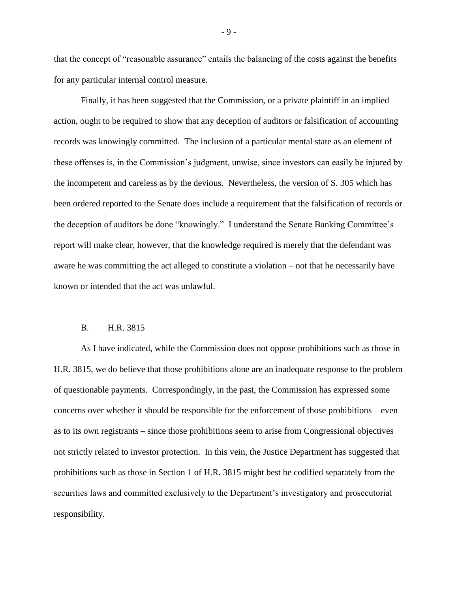that the concept of "reasonable assurance" entails the balancing of the costs against the benefits for any particular internal control measure.

Finally, it has been suggested that the Commission, or a private plaintiff in an implied action, ought to be required to show that any deception of auditors or falsification of accounting records was knowingly committed. The inclusion of a particular mental state as an element of these offenses is, in the Commission's judgment, unwise, since investors can easily be injured by the incompetent and careless as by the devious. Nevertheless, the version of S. 305 which has been ordered reported to the Senate does include a requirement that the falsification of records or the deception of auditors be done "knowingly." I understand the Senate Banking Committee's report will make clear, however, that the knowledge required is merely that the defendant was aware he was committing the act alleged to constitute a violation – not that he necessarily have known or intended that the act was unlawful.

#### B. H.R. 3815

As I have indicated, while the Commission does not oppose prohibitions such as those in H.R. 3815, we do believe that those prohibitions alone are an inadequate response to the problem of questionable payments. Correspondingly, in the past, the Commission has expressed some concerns over whether it should be responsible for the enforcement of those prohibitions – even as to its own registrants – since those prohibitions seem to arise from Congressional objectives not strictly related to investor protection. In this vein, the Justice Department has suggested that prohibitions such as those in Section 1 of H.R. 3815 might best be codified separately from the securities laws and committed exclusively to the Department's investigatory and prosecutorial responsibility.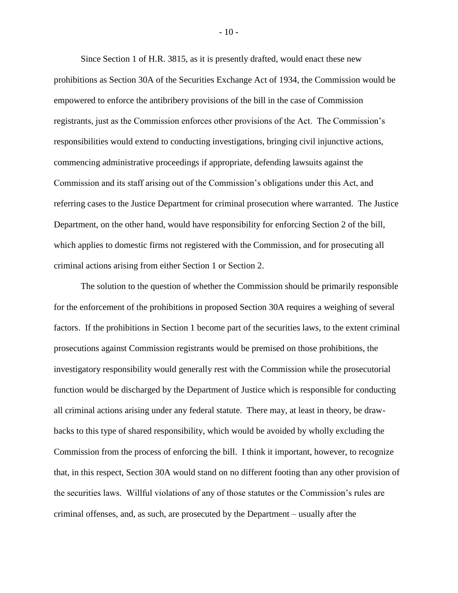Since Section 1 of H.R. 3815, as it is presently drafted, would enact these new prohibitions as Section 30A of the Securities Exchange Act of 1934, the Commission would be empowered to enforce the antibribery provisions of the bill in the case of Commission registrants, just as the Commission enforces other provisions of the Act. The Commission's responsibilities would extend to conducting investigations, bringing civil injunctive actions, commencing administrative proceedings if appropriate, defending lawsuits against the Commission and its staff arising out of the Commission's obligations under this Act, and referring cases to the Justice Department for criminal prosecution where warranted. The Justice Department, on the other hand, would have responsibility for enforcing Section 2 of the bill, which applies to domestic firms not registered with the Commission, and for prosecuting all criminal actions arising from either Section 1 or Section 2.

The solution to the question of whether the Commission should be primarily responsible for the enforcement of the prohibitions in proposed Section 30A requires a weighing of several factors. If the prohibitions in Section 1 become part of the securities laws, to the extent criminal prosecutions against Commission registrants would be premised on those prohibitions, the investigatory responsibility would generally rest with the Commission while the prosecutorial function would be discharged by the Department of Justice which is responsible for conducting all criminal actions arising under any federal statute. There may, at least in theory, be drawbacks to this type of shared responsibility, which would be avoided by wholly excluding the Commission from the process of enforcing the bill. I think it important, however, to recognize that, in this respect, Section 30A would stand on no different footing than any other provision of the securities laws. Willful violations of any of those statutes or the Commission's rules are criminal offenses, and, as such, are prosecuted by the Department – usually after the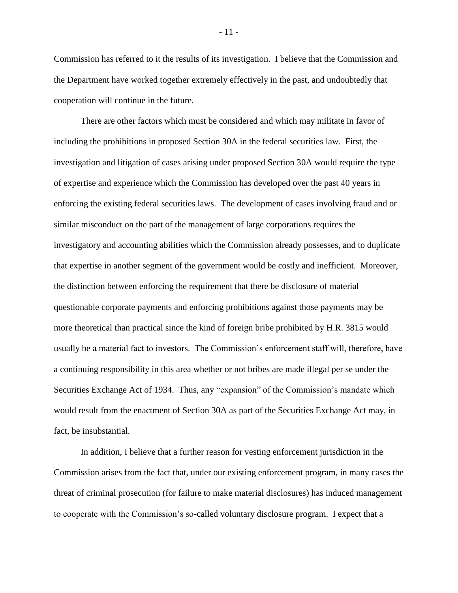Commission has referred to it the results of its investigation. I believe that the Commission and the Department have worked together extremely effectively in the past, and undoubtedly that cooperation will continue in the future.

There are other factors which must be considered and which may militate in favor of including the prohibitions in proposed Section 30A in the federal securities law. First, the investigation and litigation of cases arising under proposed Section 30A would require the type of expertise and experience which the Commission has developed over the past 40 years in enforcing the existing federal securities laws. The development of cases involving fraud and or similar misconduct on the part of the management of large corporations requires the investigatory and accounting abilities which the Commission already possesses, and to duplicate that expertise in another segment of the government would be costly and inefficient. Moreover, the distinction between enforcing the requirement that there be disclosure of material questionable corporate payments and enforcing prohibitions against those payments may be more theoretical than practical since the kind of foreign bribe prohibited by H.R. 3815 would usually be a material fact to investors. The Commission's enforcement staff will, therefore, have a continuing responsibility in this area whether or not bribes are made illegal per se under the Securities Exchange Act of 1934. Thus, any "expansion" of the Commission's mandate which would result from the enactment of Section 30A as part of the Securities Exchange Act may, in fact, be insubstantial.

In addition, I believe that a further reason for vesting enforcement jurisdiction in the Commission arises from the fact that, under our existing enforcement program, in many cases the threat of criminal prosecution (for failure to make material disclosures) has induced management to cooperate with the Commission's so-called voluntary disclosure program. I expect that a

- 11 -